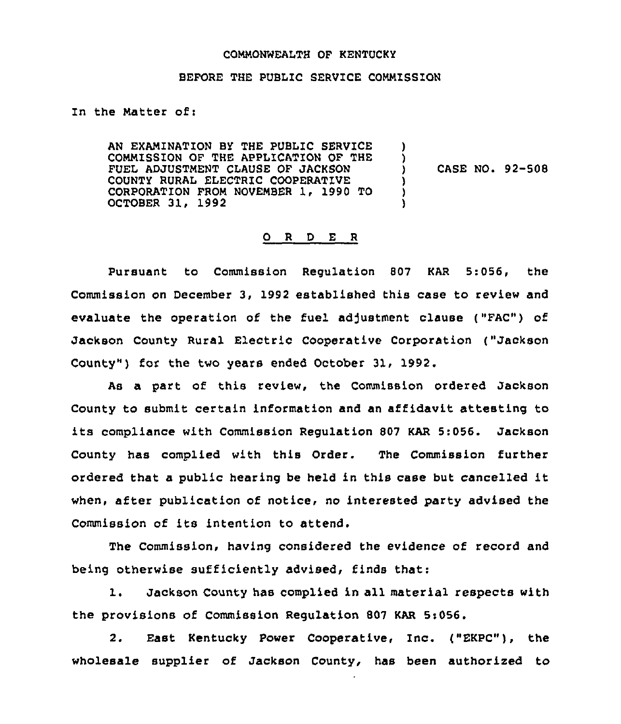#### COMMONWEALTH OF KENTUCKY

#### BEFORE THE PUBLIC SERVICE COMMISSION

In the Matter of:

AN EXAMINATION BY THE PUBLIC SERVICE COMMISSION QF THE APPLICATION OF THE FUEL ADJUSTMENT CLAUSE OF JACKSON COUNTY RURAL ELECTRIC COOPERATIVE CORPORATION FROM NOVEMBER 1, 1990 TO OCTOBER 31, 1992 ) )<br>) ) CASE NO. 92-508 ) ) )

#### 0 R <sup>D</sup> E <sup>R</sup>

Pursuant to Commission Regulation 807 KAR 5:056, the Commission on December 3, 1992 established this case to review and evaluate the operation of the fuel adjustment clause ("FAC") of Jackson County Rural Electric Cooperative Corporation ("Jackson County") for the two years ended October 31, 1992.

As a part of this review, the Commission ordered Jackson County to submit certain information and an affidavit attesting to its compliance with Commission Regulation <sup>807</sup> KAR 5:056. Jackson County has complied with this Order. The Commission further ordered that <sup>a</sup> public hearing be held in this case but cancelled it when, after publication of notice, no interested party advised the Commission of its intention to attend.

The Commission, having considered the evidence of record and being otherwise sufficiently advised, finds that:

1. Jackson County has complied in all material respects with the provisions of Commission Regulation 807 KAR 5:056.

2. East Kentucky Power Cooperative, Inc. ("EKPC"), the wholesale supplier of Jackson County, has been authorized to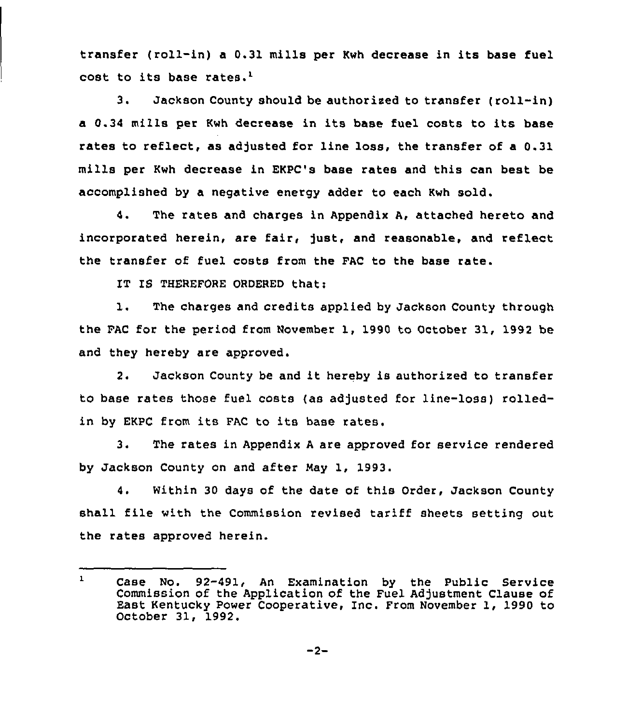transfer (roll-in) <sup>a</sup> 0.31 mills per Kwh decrease in its base fuel cost to its base rates.'.

3. Jackson County should be authorized to transfer (roll-in) a 0.34 mills per Kwh decrease in its base fuel costs to its base rates to reflect, as adjusted for line loss, the transfer of a 0.31 mills per Kwh decrease in EKPC's base rates and this can best be accomplished by a negative energy adder to each Kwh sold.

4. The rates and charges in Appendix A, attached hereto and incorporated herein, are fair, just, and reasonable, and reflect the transfer of fuel costs from the FAC to the base rate.

IT IS THEREFORE ORDERED that:

1. The charges and credits applied by Jackson County through the FAC for the period from November 1, 1990 to October 31, 1992 be and they hereby are approved.

2. Jackson County be and it hereby is authorized to transfer to base rates those fuel costs (as adjusted for line-loss) rolledin by EKPC from its FAC to its base rates.

3. The rates in Appendix <sup>A</sup> are approved for service rendered by Jackson County on and after May 1, 1993.

4. Within 30 days of the date of this Order, Jackson County shall file with the Commission revised tariff sheets setting out the rates approved herein.

 $\mathbf{1}$ Case No. 92-491, An Examination by the Public Service Commission of the Application of the Fuel Adjustment Clause of East Kentucky Power Cooperative, Inc. From November 1, 1990 to October 31, 1992.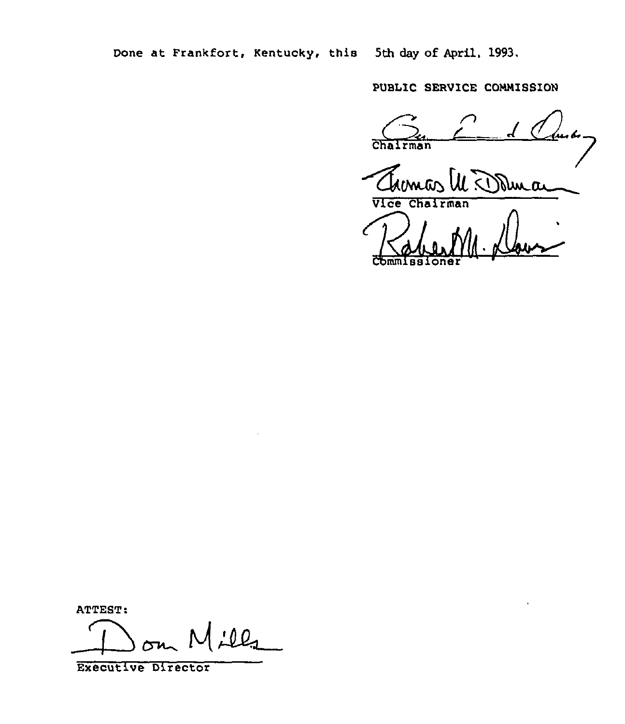Done at Frankfort, Kentucky, this 5th day of April, 1993.

PUBLIC SERVICE COMMISSION

Chairma<sup>n</sup>  $\overline{a}$ 

Themas M Dama

Commissione

Dom Mills

Executive Director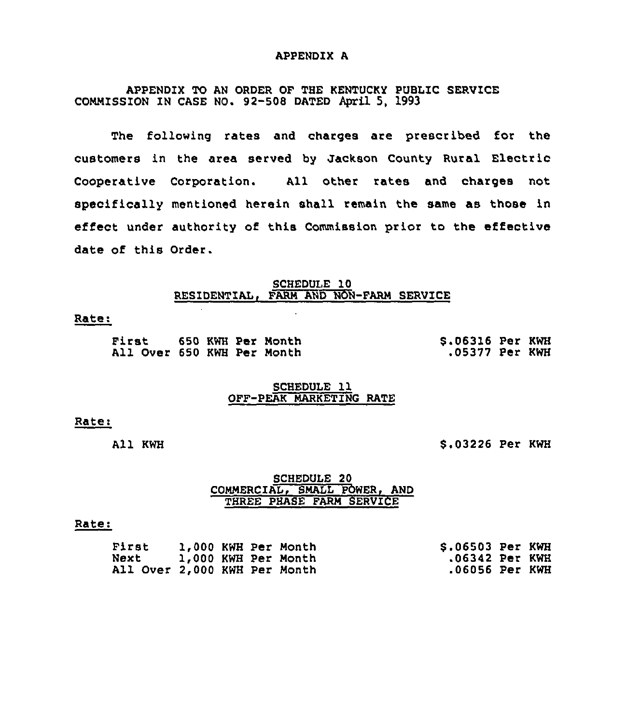#### APPENDIX A

# APPENDIX TO AN ORDER OF THE KENTUCKY PUBLIC SERVICE COMMISSION IN CASE NO. 92-508 DATED April 5, 1993

The following rates and charges are prescribed for the customers in the area served by Jackson County Rural Electric Cooperative Corporation. All other rates and charges not specifically mentioned herein shall remain the same as those in effect under authority of this Commission prior to the effective date of this Order.

#### SCHEDULE 10 RESIDENTIAL, FARM AND NON-FARM SERVICE

#### Rate:

| First 650 KWH Per Month    |  |  | \$.06316 Per KWH |  |
|----------------------------|--|--|------------------|--|
| All Over 650 KWH Per Month |  |  | .05377 Per KWH   |  |

#### SCHEDULE 11 OFF-PEAK MARKETING RATE

#### Rate:

All KWH

\$ .03226 Per KWH

#### SCHEDULE 20 COMMERCIAL, SMALL POWER, AND THREE PHASE FARM SERVICE

#### Rate:

| First                        |  | 1,000 KWH Per Month | \$.06503 Per KWH |  |
|------------------------------|--|---------------------|------------------|--|
| Next                         |  | 1,000 KWH Per Month | .06342 Per KWH   |  |
| All Over 2,000 KWH Per Month |  |                     | .06056 Per KWH   |  |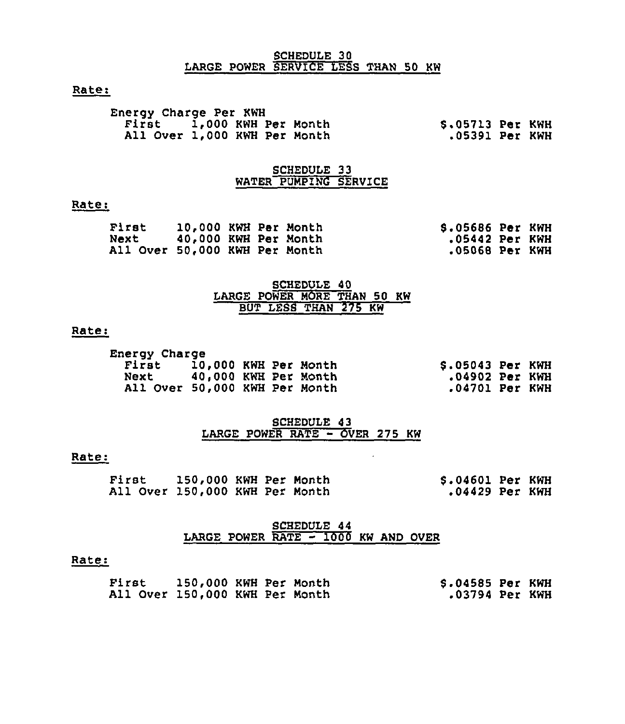### SCHEDULE 30 LARGE POWER SERVICE LESS THAN 50 KW

# Rate:

| <b>Energy Charge Per KWH</b> |  |                  |  |
|------------------------------|--|------------------|--|
| First 1,000 KWH Per Month    |  | \$.05713 Per KWH |  |
| All Over 1,000 KWH Per Month |  | .05391 Per KWH   |  |

### SCHEDULE 33 WATER PUMPING SERVICE

# Rate:

| First                         | 10,000 KWH Per Month |  | <b>S.05686 Per KWH</b> |  |
|-------------------------------|----------------------|--|------------------------|--|
| Next                          | 40,000 KWH Per Month |  | .05442 Per KWH         |  |
| All Over 50,000 KWH Per Month |                      |  | .05068 Per KWH         |  |

# SCHEDULE 40 LARGE POWER MORE THAN 50 KW BUT LESS THAN 275 KW

#### Rate:

| Energy Charge                 |                  |
|-------------------------------|------------------|
| First 10,000 KWH Per Month    | \$.05043 Per KWH |
| Next 40,000 KWH Per Month     | .04902 Per KWH   |
| All Over 50,000 KWH Per Month | .04701 Per KWH   |

### SCHEDULE 43 LARGE POWER RATE - OVER <sup>275</sup> KW

#### Rate:

| First                          | 150,000 KWH Per Month |  | $$.04601$ Per KWH |  |
|--------------------------------|-----------------------|--|-------------------|--|
| All Over 150,000 KWH Per Month |                       |  | .04429 Per KWH    |  |

# SCHEDULE 44<br>LARGE POWER RATE - 1000 KW AND OVER

#### Rate:

| First                          | 150,000 KWH Per Month |  | \$.04585 Per KWH |  |
|--------------------------------|-----------------------|--|------------------|--|
| All Over 150,000 KWH Per Month |                       |  | .03794 Per KWH   |  |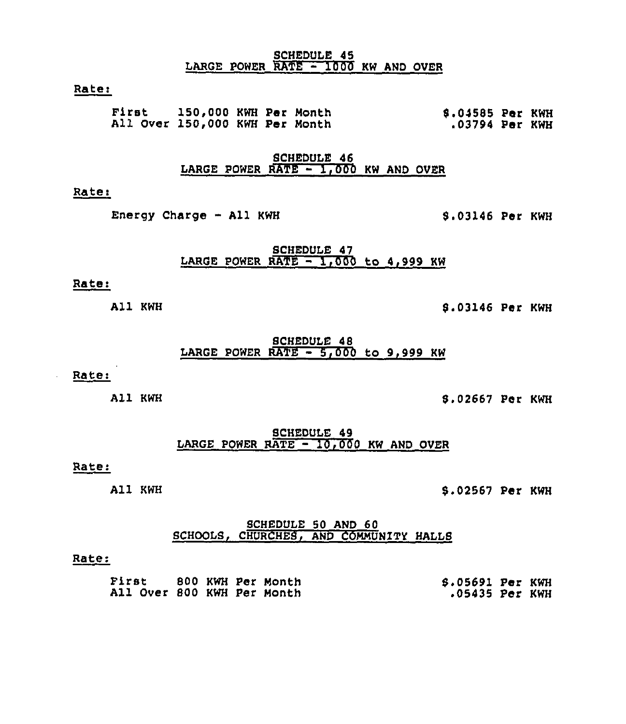#### SCHEDULE 45 LARGE POWER RATE - 1000 KW AND OVER

### Rate:

First 150,000 KWH Per Month All Over 150,000 KWH Per Month 8.04585 Per KWH .03794 Per KWH

> SCHEDULE 46 LARGE POWER RATE  $-1,000$  KW AND OVER

# Rate:

Energy Charge - All KWH 8.03146 Per KWH

SCHEDULE 47 LARGE POWER RATE  $-1,000$  to 4,999 KW

#### Rate:

All KWH

8.03146 Per KWH

### SCHEDULE 48 LARGE POWER RATE  $-5,000$  to 9,999 KW

# Rate:

All KWH

8.02667 Per KWH

SCHEDULE 49 LARGE POWER RATE - 10,000 KW AND OVER

# Rate:

All KWH

5.02567 Per KWH

# SCHEDULE 50 AND 60 SCHOOLS, CHURCHES, AND COMMUNITY HALLS

#### Rate:

| First                      | 800 KWH Per Month | \$.05691 Per KWH |  |
|----------------------------|-------------------|------------------|--|
| All Over 800 KWH Per Month |                   | .05435 Per KWH   |  |